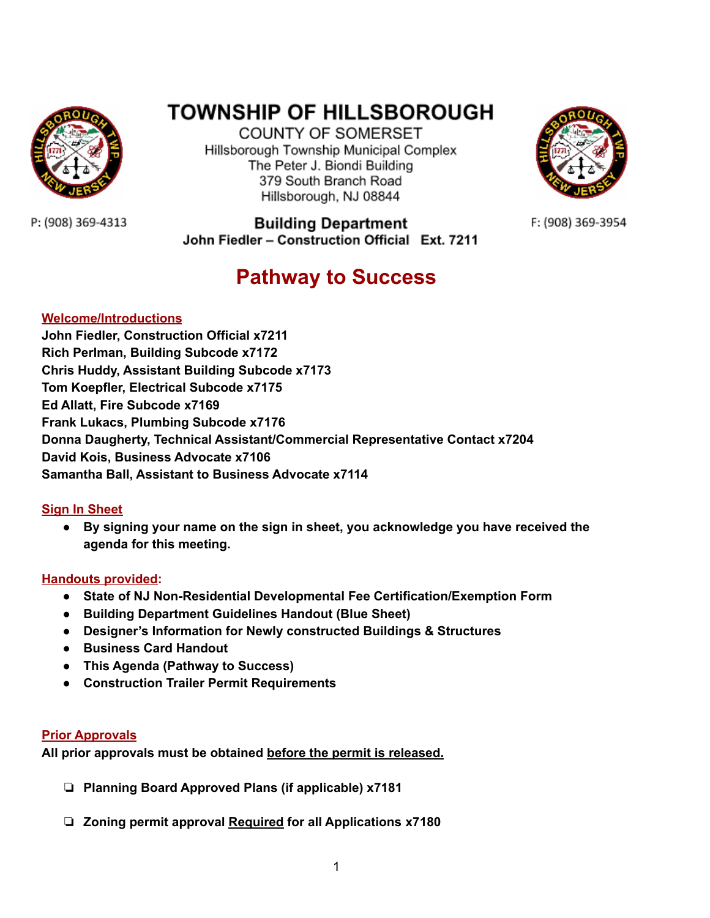

# **TOWNSHIP OF HILLSBOROUGH**

**COUNTY OF SOMERSET** Hillsborough Township Municipal Complex The Peter J. Biondi Building 379 South Branch Road Hillsborough, NJ 08844



F: (908) 369-3954

P: (908) 369-4313

**Building Department** John Fiedler - Construction Official Ext. 7211

# **Pathway to Success**

# **Welcome/Introductions**

**John Fiedler, Construction Official x7211 Rich Perlman, Building Subcode x7172 Chris Huddy, Assistant Building Subcode x7173 Tom Koepfler, Electrical Subcode x7175 Ed Allatt, Fire Subcode x7169 Frank Lukacs, Plumbing Subcode x7176 Donna Daugherty, Technical Assistant/Commercial Representative Contact x7204 David Kois, Business Advocate x7106 Samantha Ball, Assistant to Business Advocate x7114**

# **Sign In Sheet**

**● By signing your name on the sign in sheet, you acknowledge you have received the agenda for this meeting.**

# **Handouts provided:**

- **● State of NJ Non-Residential Developmental Fee Certification/Exemption Form**
- **● Building Department Guidelines Handout (Blue Sheet)**
- **● Designer's Information for Newly constructed Buildings & Structures**
- **● Business Card Handout**
- **● This Agenda (Pathway to Success)**
- **● Construction Trailer Permit Requirements**

# **Prior Approvals**

**All prior approvals must be obtained before the permit is released.**

- ❏ **Planning Board Approved Plans (if applicable) x7181**
- ❏ **Zoning permit approval Required for all Applications x7180**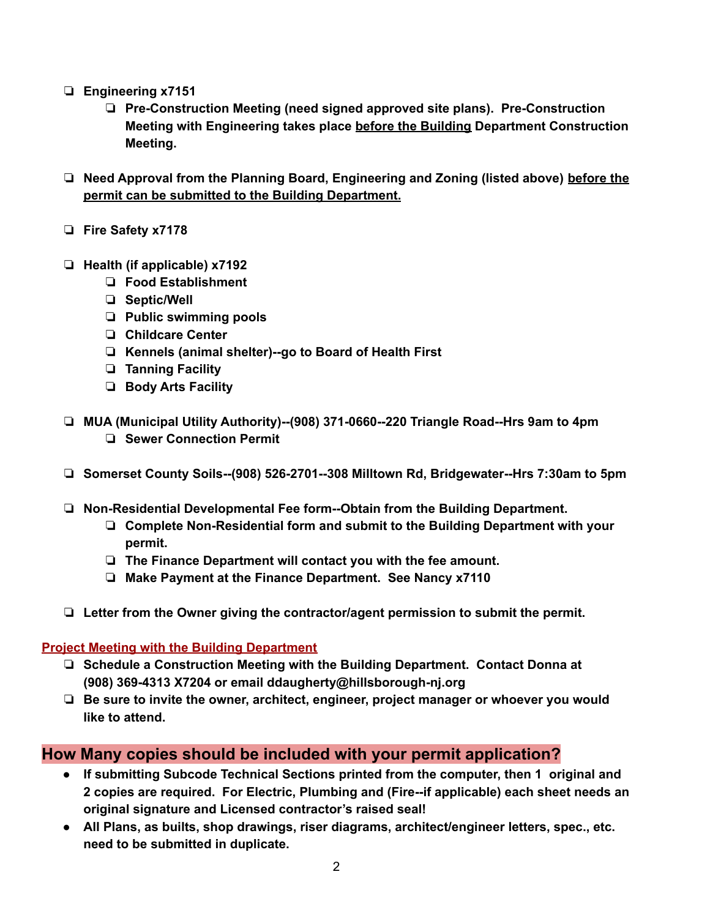- ❏ **Engineering x7151**
	- ❏ **Pre-Construction Meeting (need signed approved site plans). Pre-Construction Meeting with Engineering takes place before the Building Department Construction Meeting.**
- ❏ **Need Approval from the Planning Board, Engineering and Zoning (listed above) before the permit can be submitted to the Building Department.**
- ❏ **Fire Safety x7178**
- ❏ **Health (if applicable) x7192**
	- ❏ **Food Establishment**
	- ❏ **Septic/Well**
	- ❏ **Public swimming pools**
	- ❏ **Childcare Center**
	- ❏ **Kennels (animal shelter)--go to Board of Health First**
	- ❏ **Tanning Facility**
	- ❏ **Body Arts Facility**
- ❏ **MUA (Municipal Utility Authority)--(908) 371-0660--220 Triangle Road--Hrs 9am to 4pm** ❏ **Sewer Connection Permit**
- ❏ **Somerset County Soils--(908) 526-2701--308 Milltown Rd, Bridgewater--Hrs 7:30am to 5pm**
- ❏ **Non-Residential Developmental Fee form--Obtain from the Building Department.**
	- ❏ **Complete Non-Residential form and submit to the Building Department with your permit.**
	- ❏ **The Finance Department will contact you with the fee amount.**
	- ❏ **Make Payment at the Finance Department. See Nancy x7110**
- ❏ **Letter from the Owner giving the contractor/agent permission to submit the permit.**

#### **Project Meeting with the Building Department**

- ❏ **Schedule a Construction Meeting with the Building Department. Contact Donna at (908) 369-4313 X7204 or email ddaugherty@hillsborough-nj.org**
- ❏ **Be sure to invite the owner, architect, engineer, project manager or whoever you would like to attend.**

# **How Many copies should be included with your permit application?**

- **● If submitting Subcode Technical Sections printed from the computer, then 1 original and 2 copies are required. For Electric, Plumbing and (Fire--if applicable) each sheet needs an original signature and Licensed contractor's raised seal!**
- **● All Plans, as builts, shop drawings, riser diagrams, architect/engineer letters, spec., etc. need to be submitted in duplicate.**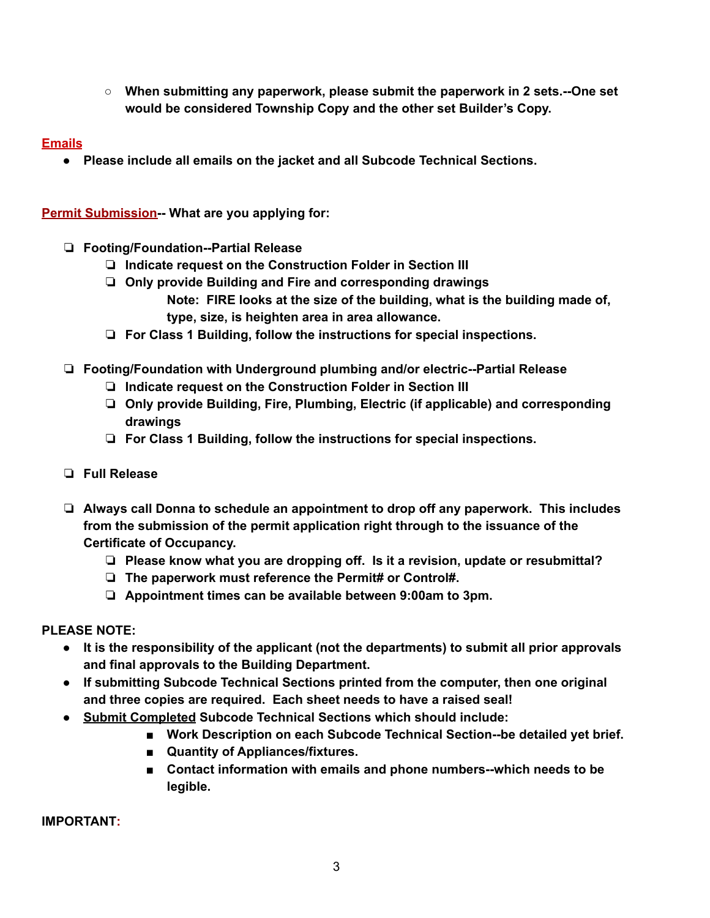**○ When submitting any paperwork, please submit the paperwork in 2 sets.--One set would be considered Township Copy and the other set Builder's Copy.**

# **Emails**

**● Please include all emails on the jacket and all Subcode Technical Sections.**

**Permit Submission-- What are you applying for:**

- ❏ **Footing/Foundation--Partial Release**
	- ❏ **Indicate request on the Construction Folder in Section III**
	- ❏ **Only provide Building and Fire and corresponding drawings**
		- **Note: FIRE looks at the size of the building, what is the building made of, type, size, is heighten area in area allowance.**
	- ❏ **For Class 1 Building, follow the instructions for special inspections.**
- ❏ **Footing/Foundation with Underground plumbing and/or electric--Partial Release**
	- ❏ **Indicate request on the Construction Folder in Section III**
	- ❏ **Only provide Building, Fire, Plumbing, Electric (if applicable) and corresponding drawings**
	- ❏ **For Class 1 Building, follow the instructions for special inspections.**
- ❏ **Full Release**
- ❏ **Always call Donna to schedule an appointment to drop off any paperwork. This includes from the submission of the permit application right through to the issuance of the Certificate of Occupancy.**
	- ❏ **Please know what you are dropping off. Is it a revision, update or resubmittal?**
	- ❏ **The paperwork must reference the Permit# or Control#.**
	- ❏ **Appointment times can be available between 9:00am to 3pm.**

# **PLEASE NOTE:**

- **● It is the responsibility of the applicant (not the departments) to submit all prior approvals and final approvals to the Building Department.**
- **● If submitting Subcode Technical Sections printed from the computer, then one original and three copies are required. Each sheet needs to have a raised seal!**
- **● Submit Completed Subcode Technical Sections which should include:**
	- **■ Work Description on each Subcode Technical Section--be detailed yet brief.**
	- **■ Quantity of Appliances/fixtures.**
	- **■ Contact information with emails and phone numbers--which needs to be legible.**

**IMPORTANT:**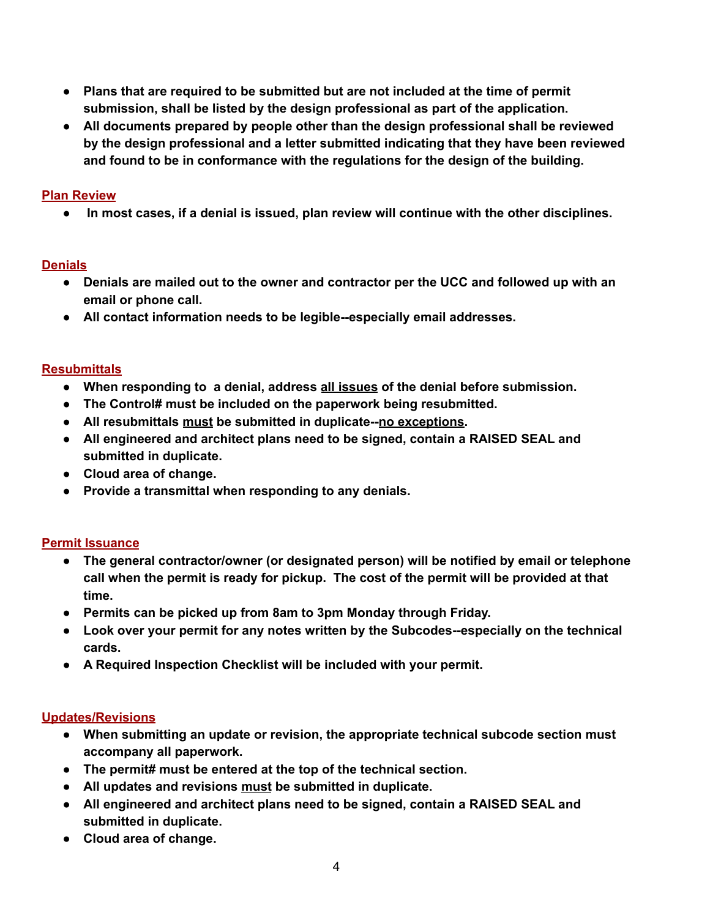- **● Plans that are required to be submitted but are not included at the time of permit submission, shall be listed by the design professional as part of the application.**
- **● All documents prepared by people other than the design professional shall be reviewed by the design professional and a letter submitted indicating that they have been reviewed and found to be in conformance with the regulations for the design of the building.**

## **Plan Review**

**● In most cases, if a denial is issued, plan review will continue with the other disciplines.**

## **Denials**

- **● Denials are mailed out to the owner and contractor per the UCC and followed up with an email or phone call.**
- **● All contact information needs to be legible--especially email addresses.**

## **Resubmittals**

- **● When responding to a denial, address all issues of the denial before submission.**
- **● The Control# must be included on the paperwork being resubmitted.**
- **● All resubmittals must be submitted in duplicate--no exceptions.**
- **● All engineered and architect plans need to be signed, contain a RAISED SEAL and submitted in duplicate.**
- **● Cloud area of change.**
- **● Provide a transmittal when responding to any denials.**

# **Permit Issuance**

- **● The general contractor/owner (or designated person) will be notified by email or telephone call when the permit is ready for pickup. The cost of the permit will be provided at that time.**
- **● Permits can be picked up from 8am to 3pm Monday through Friday.**
- **● Look over your permit for any notes written by the Subcodes--especially on the technical cards.**
- **● A Required Inspection Checklist will be included with your permit.**

### **Updates/Revisions**

- **● When submitting an update or revision, the appropriate technical subcode section must accompany all paperwork.**
- **● The permit# must be entered at the top of the technical section.**
- **● All updates and revisions must be submitted in duplicate.**
- **● All engineered and architect plans need to be signed, contain a RAISED SEAL and submitted in duplicate.**
- **● Cloud area of change.**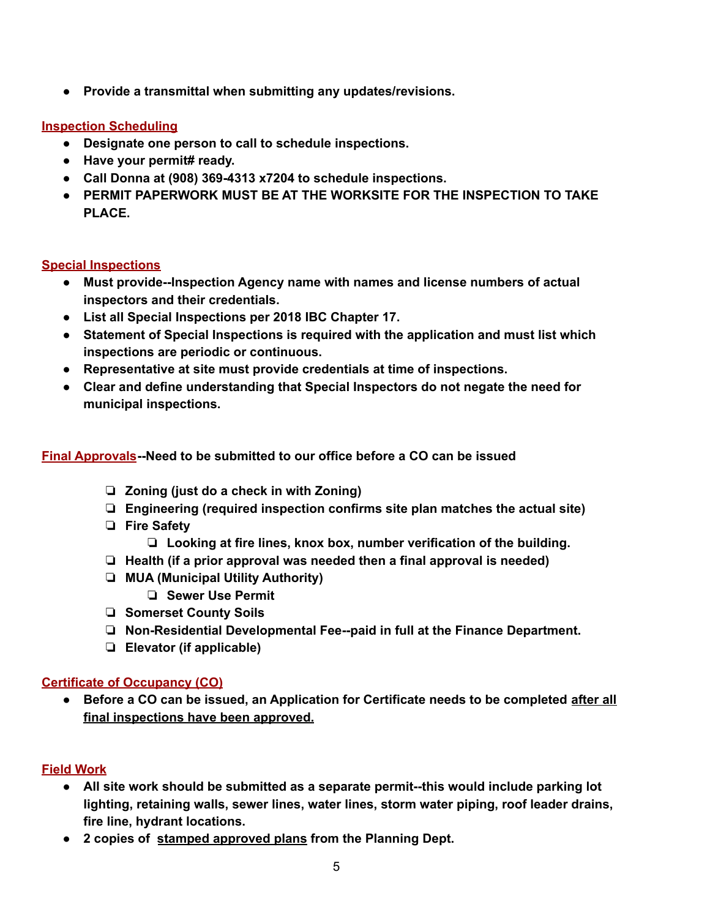**● Provide a transmittal when submitting any updates/revisions.**

#### **Inspection Scheduling**

- **● Designate one person to call to schedule inspections.**
- **● Have your permit# ready.**
- **● Call Donna at (908) 369-4313 x7204 to schedule inspections.**
- **● PERMIT PAPERWORK MUST BE AT THE WORKSITE FOR THE INSPECTION TO TAKE PLACE.**

### **Special Inspections**

- **● Must provide--Inspection Agency name with names and license numbers of actual inspectors and their credentials.**
- **● List all Special Inspections per 2018 IBC Chapter 17.**
- **● Statement of Special Inspections is required with the application and must list which inspections are periodic or continuous.**
- **● Representative at site must provide credentials at time of inspections.**
- **● Clear and define understanding that Special Inspectors do not negate the need for municipal inspections.**

### **Final Approvals--Need to be submitted to our office before a CO can be issued**

- ❏ **Zoning (just do a check in with Zoning)**
- ❏ **Engineering (required inspection confirms site plan matches the actual site)**
- ❏ **Fire Safety**
	- ❏ **Looking at fire lines, knox box, number verification of the building.**
- ❏ **Health (if a prior approval was needed then a final approval is needed)**
- ❏ **MUA (Municipal Utility Authority)**
	- ❏ **Sewer Use Permit**
- ❏ **Somerset County Soils**
- ❏ **Non-Residential Developmental Fee--paid in full at the Finance Department.**
- ❏ **Elevator (if applicable)**

# **Certificate of Occupancy (CO)**

**● Before a CO can be issued, an Application for Certificate needs to be completed after all final inspections have been approved.**

# **Field Work**

- **● All site work should be submitted as a separate permit--this would include parking lot lighting, retaining walls, sewer lines, water lines, storm water piping, roof leader drains, fire line, hydrant locations.**
- **● 2 copies of stamped approved plans from the Planning Dept.**